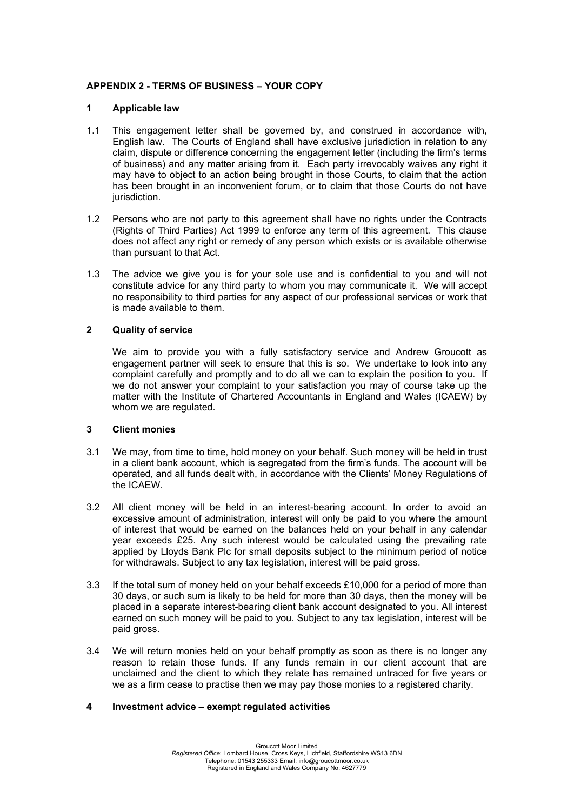# **APPENDIX 2 - TERMS OF BUSINESS – YOUR COPY**

## **1 Applicable law**

- 1.1 This engagement letter shall be governed by, and construed in accordance with, English law. The Courts of England shall have exclusive jurisdiction in relation to any claim, dispute or difference concerning the engagement letter (including the firm's terms of business) and any matter arising from it. Each party irrevocably waives any right it may have to object to an action being brought in those Courts, to claim that the action has been brought in an inconvenient forum, or to claim that those Courts do not have jurisdiction.
- 1.2 Persons who are not party to this agreement shall have no rights under the Contracts (Rights of Third Parties) Act 1999 to enforce any term of this agreement. This clause does not affect any right or remedy of any person which exists or is available otherwise than pursuant to that Act.
- 1.3 The advice we give you is for your sole use and is confidential to you and will not constitute advice for any third party to whom you may communicate it. We will accept no responsibility to third parties for any aspect of our professional services or work that is made available to them.

## **2 Quality of service**

We aim to provide you with a fully satisfactory service and Andrew Groucott as engagement partner will seek to ensure that this is so. We undertake to look into any complaint carefully and promptly and to do all we can to explain the position to you. If we do not answer your complaint to your satisfaction you may of course take up the matter with the Institute of Chartered Accountants in England and Wales (ICAEW) by whom we are regulated.

### **3 Client monies**

- 3.1 We may, from time to time, hold money on your behalf. Such money will be held in trust in a client bank account, which is segregated from the firm's funds. The account will be operated, and all funds dealt with, in accordance with the Clients' Money Regulations of the ICAEW.
- 3.2 All client money will be held in an interest-bearing account. In order to avoid an excessive amount of administration, interest will only be paid to you where the amount of interest that would be earned on the balances held on your behalf in any calendar year exceeds £25. Any such interest would be calculated using the prevailing rate applied by Lloyds Bank Plc for small deposits subject to the minimum period of notice for withdrawals. Subject to any tax legislation, interest will be paid gross.
- 3.3 If the total sum of money held on your behalf exceeds £10,000 for a period of more than 30 days, or such sum is likely to be held for more than 30 days, then the money will be placed in a separate interest-bearing client bank account designated to you. All interest earned on such money will be paid to you. Subject to any tax legislation, interest will be paid gross.
- 3.4 We will return monies held on your behalf promptly as soon as there is no longer any reason to retain those funds. If any funds remain in our client account that are unclaimed and the client to which they relate has remained untraced for five years or we as a firm cease to practise then we may pay those monies to a registered charity.

### **4 Investment advice – exempt regulated activities**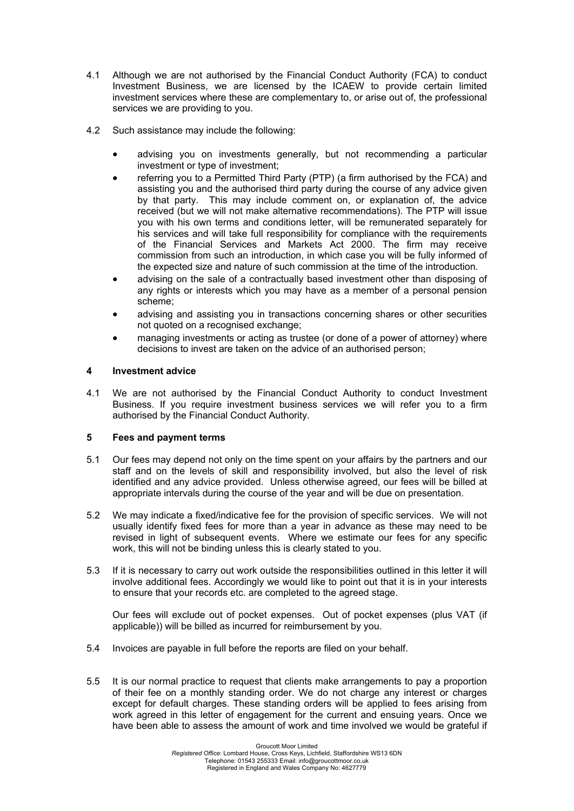- 4.1 Although we are not authorised by the Financial Conduct Authority (FCA) to conduct Investment Business, we are licensed by the ICAEW to provide certain limited investment services where these are complementary to, or arise out of, the professional services we are providing to you.
- 4.2 Such assistance may include the following:
	- advising you on investments generally, but not recommending a particular investment or type of investment;
	- referring you to a Permitted Third Party (PTP) (a firm authorised by the FCA) and assisting you and the authorised third party during the course of any advice given by that party. This may include comment on, or explanation of, the advice received (but we will not make alternative recommendations). The PTP will issue you with his own terms and conditions letter, will be remunerated separately for his services and will take full responsibility for compliance with the requirements of the Financial Services and Markets Act 2000. The firm may receive commission from such an introduction, in which case you will be fully informed of the expected size and nature of such commission at the time of the introduction.
	- advising on the sale of a contractually based investment other than disposing of any rights or interests which you may have as a member of a personal pension scheme;
	- advising and assisting you in transactions concerning shares or other securities not quoted on a recognised exchange;
	- managing investments or acting as trustee (or done of a power of attorney) where decisions to invest are taken on the advice of an authorised person;

# **4 Investment advice**

4.1 We are not authorised by the Financial Conduct Authority to conduct Investment Business. If you require investment business services we will refer you to a firm authorised by the Financial Conduct Authority.

# **5 Fees and payment terms**

- 5.1 Our fees may depend not only on the time spent on your affairs by the partners and our staff and on the levels of skill and responsibility involved, but also the level of risk identified and any advice provided. Unless otherwise agreed, our fees will be billed at appropriate intervals during the course of the year and will be due on presentation.
- 5.2 We may indicate a fixed/indicative fee for the provision of specific services. We will not usually identify fixed fees for more than a year in advance as these may need to be revised in light of subsequent events. Where we estimate our fees for any specific work, this will not be binding unless this is clearly stated to you.
- 5.3 If it is necessary to carry out work outside the responsibilities outlined in this letter it will involve additional fees. Accordingly we would like to point out that it is in your interests to ensure that your records etc. are completed to the agreed stage.

Our fees will exclude out of pocket expenses. Out of pocket expenses (plus VAT (if applicable)) will be billed as incurred for reimbursement by you.

- 5.4 Invoices are payable in full before the reports are filed on your behalf.
- 5.5 It is our normal practice to request that clients make arrangements to pay a proportion of their fee on a monthly standing order. We do not charge any interest or charges except for default charges. These standing orders will be applied to fees arising from work agreed in this letter of engagement for the current and ensuing years. Once we have been able to assess the amount of work and time involved we would be grateful if

Groucott Moor Limited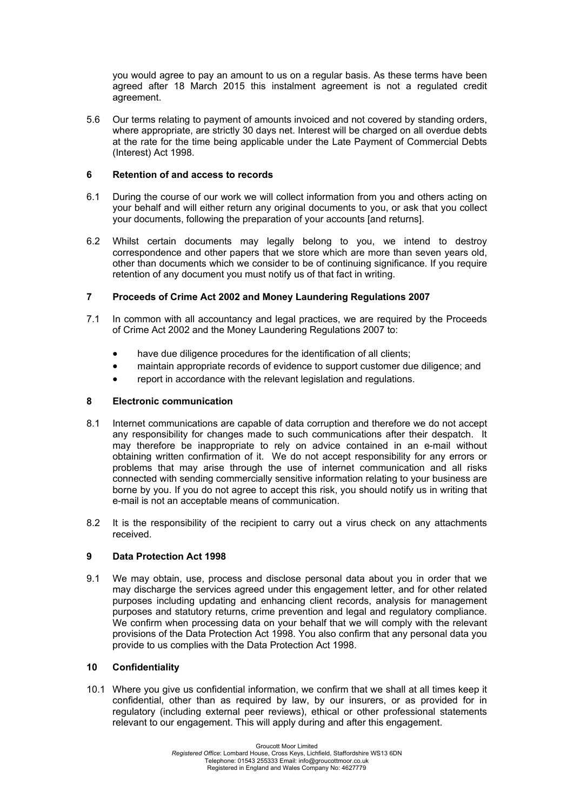you would agree to pay an amount to us on a regular basis. As these terms have been agreed after 18 March 2015 this instalment agreement is not a regulated credit agreement.

5.6 Our terms relating to payment of amounts invoiced and not covered by standing orders, where appropriate, are strictly 30 days net. Interest will be charged on all overdue debts at the rate for the time being applicable under the Late Payment of Commercial Debts (Interest) Act 1998.

## **6 Retention of and access to records**

- 6.1 During the course of our work we will collect information from you and others acting on your behalf and will either return any original documents to you, or ask that you collect your documents, following the preparation of your accounts [and returns].
- 6.2 Whilst certain documents may legally belong to you, we intend to destroy correspondence and other papers that we store which are more than seven years old, other than documents which we consider to be of continuing significance. If you require retention of any document you must notify us of that fact in writing.

# **7 Proceeds of Crime Act 2002 and Money Laundering Regulations 2007**

- 7.1 In common with all accountancy and legal practices, we are required by the Proceeds of Crime Act 2002 and the Money Laundering Regulations 2007 to:
	- have due diligence procedures for the identification of all clients;
	- maintain appropriate records of evidence to support customer due diligence; and
	- report in accordance with the relevant legislation and regulations.

# **8 Electronic communication**

- 8.1 Internet communications are capable of data corruption and therefore we do not accept any responsibility for changes made to such communications after their despatch. It may therefore be inappropriate to rely on advice contained in an e-mail without obtaining written confirmation of it. We do not accept responsibility for any errors or problems that may arise through the use of internet communication and all risks connected with sending commercially sensitive information relating to your business are borne by you. If you do not agree to accept this risk, you should notify us in writing that e-mail is not an acceptable means of communication.
- 8.2 It is the responsibility of the recipient to carry out a virus check on any attachments received.

# **9 Data Protection Act 1998**

9.1 We may obtain, use, process and disclose personal data about you in order that we may discharge the services agreed under this engagement letter, and for other related purposes including updating and enhancing client records, analysis for management purposes and statutory returns, crime prevention and legal and regulatory compliance. We confirm when processing data on your behalf that we will comply with the relevant provisions of the Data Protection Act 1998. You also confirm that any personal data you provide to us complies with the Data Protection Act 1998.

# **10 Confidentiality**

10.1 Where you give us confidential information, we confirm that we shall at all times keep it confidential, other than as required by law, by our insurers, or as provided for in regulatory (including external peer reviews), ethical or other professional statements relevant to our engagement. This will apply during and after this engagement.

Groucott Moor Limited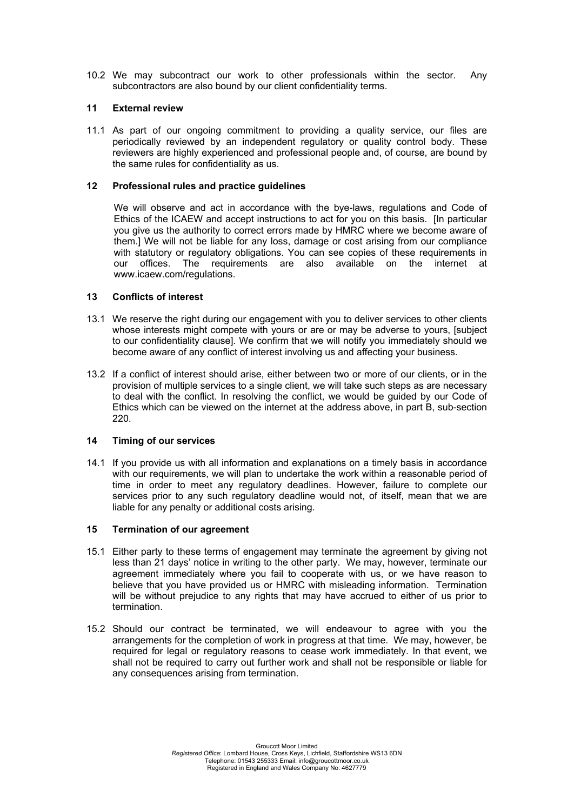10.2 We may subcontract our work to other professionals within the sector. Any subcontractors are also bound by our client confidentiality terms.

### **11 External review**

11.1 As part of our ongoing commitment to providing a quality service, our files are periodically reviewed by an independent regulatory or quality control body. These reviewers are highly experienced and professional people and, of course, are bound by the same rules for confidentiality as us.

### **12 Professional rules and practice guidelines**

We will observe and act in accordance with the bye-laws, regulations and Code of Ethics of the ICAEW and accept instructions to act for you on this basis. [In particular you give us the authority to correct errors made by HMRC where we become aware of them.] We will not be liable for any loss, damage or cost arising from our compliance with statutory or regulatory obligations. You can see copies of these requirements in our offices. The requirements are also available on the internet at www.icaew.com/regulations.

## **13 Conflicts of interest**

- 13.1 We reserve the right during our engagement with you to deliver services to other clients whose interests might compete with yours or are or may be adverse to yours, [subject to our confidentiality clause]. We confirm that we will notify you immediately should we become aware of any conflict of interest involving us and affecting your business.
- 13.2 If a conflict of interest should arise, either between two or more of our clients, or in the provision of multiple services to a single client, we will take such steps as are necessary to deal with the conflict. In resolving the conflict, we would be guided by our Code of Ethics which can be viewed on the internet at the address above, in part B, sub-section 220.

### **14 Timing of our services**

14.1 If you provide us with all information and explanations on a timely basis in accordance with our requirements, we will plan to undertake the work within a reasonable period of time in order to meet any regulatory deadlines. However, failure to complete our services prior to any such regulatory deadline would not, of itself, mean that we are liable for any penalty or additional costs arising.

### **15 Termination of our agreement**

- 15.1 Either party to these terms of engagement may terminate the agreement by giving not less than 21 days' notice in writing to the other party. We may, however, terminate our agreement immediately where you fail to cooperate with us, or we have reason to believe that you have provided us or HMRC with misleading information. Termination will be without prejudice to any rights that may have accrued to either of us prior to termination.
- 15.2 Should our contract be terminated, we will endeavour to agree with you the arrangements for the completion of work in progress at that time. We may, however, be required for legal or regulatory reasons to cease work immediately. In that event, we shall not be required to carry out further work and shall not be responsible or liable for any consequences arising from termination.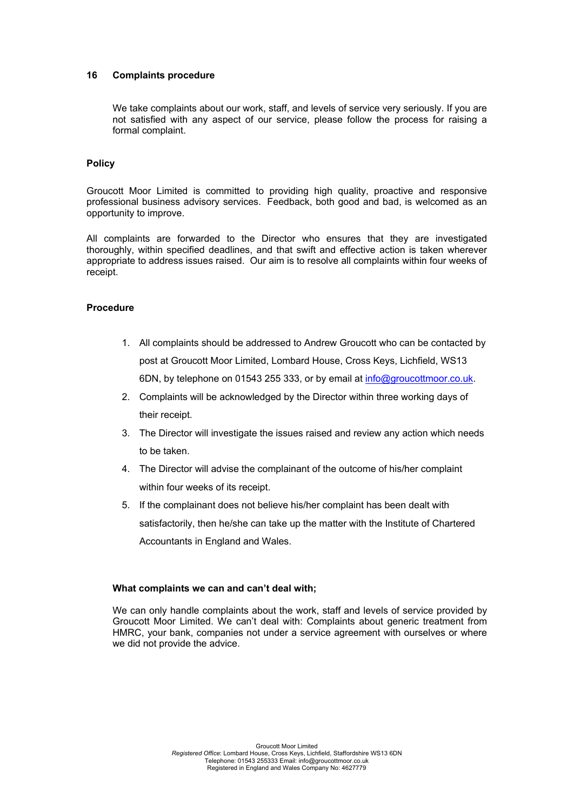### **16 Complaints procedure**

We take complaints about our work, staff, and levels of service very seriously. If you are not satisfied with any aspect of our service, please follow the process for raising a formal complaint.

## **Policy**

Groucott Moor Limited is committed to providing high quality, proactive and responsive professional business advisory services. Feedback, both good and bad, is welcomed as an opportunity to improve.

All complaints are forwarded to the Director who ensures that they are investigated thoroughly, within specified deadlines, and that swift and effective action is taken wherever appropriate to address issues raised. Our aim is to resolve all complaints within four weeks of receipt.

## **Procedure**

- 1. All complaints should be addressed to Andrew Groucott who can be contacted by post at Groucott Moor Limited, Lombard House, Cross Keys, Lichfield, WS13 6DN, by telephone on 01543 255 333, or by email at [info@groucottmoor.co.uk.](mailto:info@groucottmoor.co.uk)
- 2. Complaints will be acknowledged by the Director within three working days of their receipt.
- 3. The Director will investigate the issues raised and review any action which needs to be taken.
- 4. The Director will advise the complainant of the outcome of his/her complaint within four weeks of its receipt.
- 5. If the complainant does not believe his/her complaint has been dealt with satisfactorily, then he/she can take up the matter with the Institute of Chartered Accountants in England and Wales.

### **What complaints we can and can't deal with;**

We can only handle complaints about the work, staff and levels of service provided by Groucott Moor Limited. We can't deal with: Complaints about generic treatment from HMRC, your bank, companies not under a service agreement with ourselves or where we did not provide the advice.